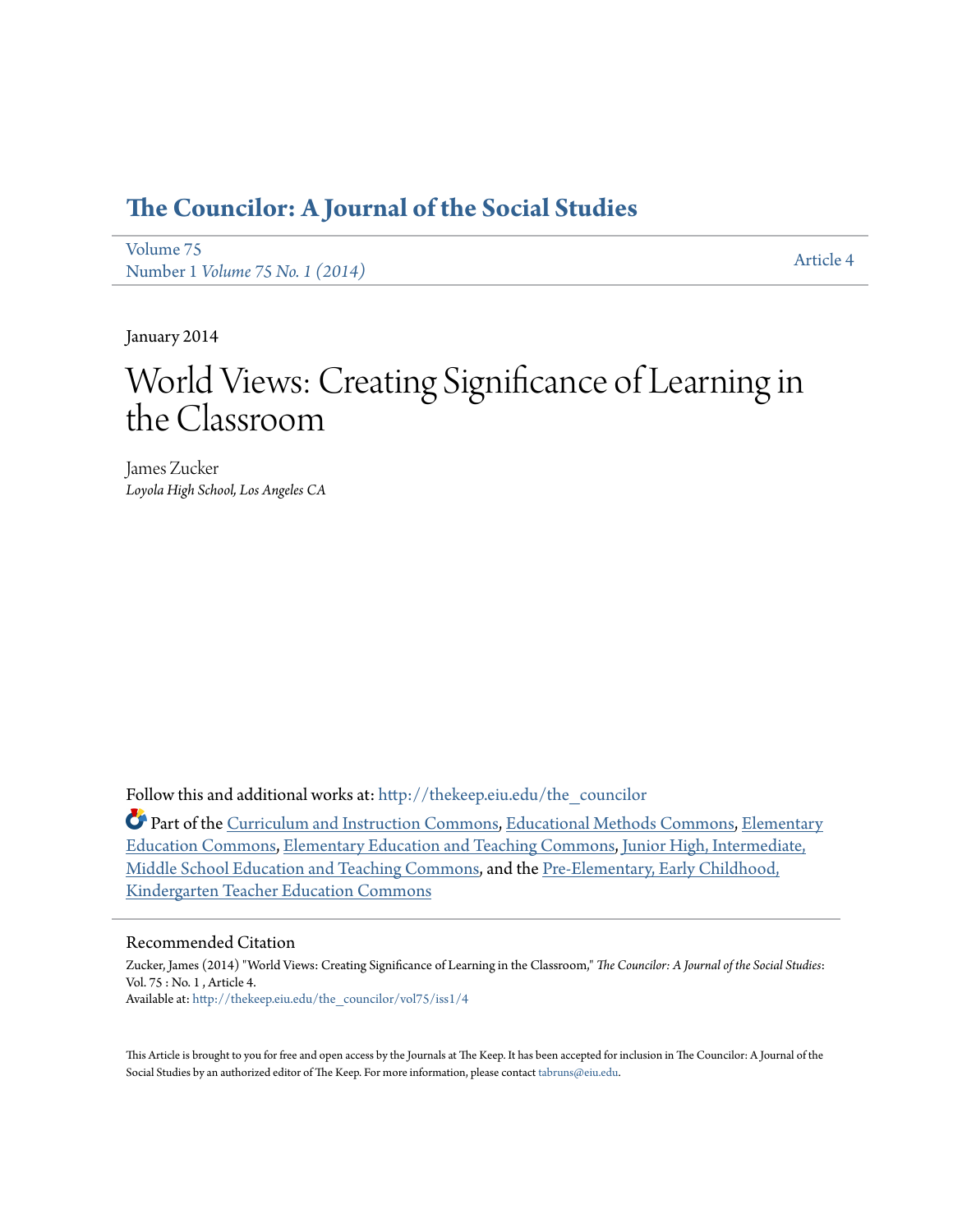# **[The Councilor: A Journal of the Social Studies](http://thekeep.eiu.edu/the_councilor?utm_source=thekeep.eiu.edu%2Fthe_councilor%2Fvol75%2Fiss1%2F4&utm_medium=PDF&utm_campaign=PDFCoverPages)**

[Volume 75](http://thekeep.eiu.edu/the_councilor/vol75?utm_source=thekeep.eiu.edu%2Fthe_councilor%2Fvol75%2Fiss1%2F4&utm_medium=PDF&utm_campaign=PDFCoverPages) Number 1 *[Volume 75 No. 1 \(2014\)](http://thekeep.eiu.edu/the_councilor/vol75/iss1?utm_source=thekeep.eiu.edu%2Fthe_councilor%2Fvol75%2Fiss1%2F4&utm_medium=PDF&utm_campaign=PDFCoverPages)* [Article 4](http://thekeep.eiu.edu/the_councilor/vol75/iss1/4?utm_source=thekeep.eiu.edu%2Fthe_councilor%2Fvol75%2Fiss1%2F4&utm_medium=PDF&utm_campaign=PDFCoverPages)

January 2014

# World Views: Creating Significance of Learning in the Classroom

James Zucker *Loyola High School, Los Angeles CA*

Follow this and additional works at: [http://thekeep.eiu.edu/the\\_councilor](http://thekeep.eiu.edu/the_councilor?utm_source=thekeep.eiu.edu%2Fthe_councilor%2Fvol75%2Fiss1%2F4&utm_medium=PDF&utm_campaign=PDFCoverPages)

Part of the [Curriculum and Instruction Commons](http://network.bepress.com/hgg/discipline/786?utm_source=thekeep.eiu.edu%2Fthe_councilor%2Fvol75%2Fiss1%2F4&utm_medium=PDF&utm_campaign=PDFCoverPages), [Educational Methods Commons,](http://network.bepress.com/hgg/discipline/1227?utm_source=thekeep.eiu.edu%2Fthe_councilor%2Fvol75%2Fiss1%2F4&utm_medium=PDF&utm_campaign=PDFCoverPages) [Elementary](http://network.bepress.com/hgg/discipline/1378?utm_source=thekeep.eiu.edu%2Fthe_councilor%2Fvol75%2Fiss1%2F4&utm_medium=PDF&utm_campaign=PDFCoverPages) [Education Commons](http://network.bepress.com/hgg/discipline/1378?utm_source=thekeep.eiu.edu%2Fthe_councilor%2Fvol75%2Fiss1%2F4&utm_medium=PDF&utm_campaign=PDFCoverPages), [Elementary Education and Teaching Commons](http://network.bepress.com/hgg/discipline/805?utm_source=thekeep.eiu.edu%2Fthe_councilor%2Fvol75%2Fiss1%2F4&utm_medium=PDF&utm_campaign=PDFCoverPages), [Junior High, Intermediate,](http://network.bepress.com/hgg/discipline/807?utm_source=thekeep.eiu.edu%2Fthe_councilor%2Fvol75%2Fiss1%2F4&utm_medium=PDF&utm_campaign=PDFCoverPages) [Middle School Education and Teaching Commons](http://network.bepress.com/hgg/discipline/807?utm_source=thekeep.eiu.edu%2Fthe_councilor%2Fvol75%2Fiss1%2F4&utm_medium=PDF&utm_campaign=PDFCoverPages), and the [Pre-Elementary, Early Childhood,](http://network.bepress.com/hgg/discipline/808?utm_source=thekeep.eiu.edu%2Fthe_councilor%2Fvol75%2Fiss1%2F4&utm_medium=PDF&utm_campaign=PDFCoverPages) [Kindergarten Teacher Education Commons](http://network.bepress.com/hgg/discipline/808?utm_source=thekeep.eiu.edu%2Fthe_councilor%2Fvol75%2Fiss1%2F4&utm_medium=PDF&utm_campaign=PDFCoverPages)

#### Recommended Citation

Zucker, James (2014) "World Views: Creating Significance of Learning in the Classroom," *The Councilor: A Journal of the Social Studies*: Vol. 75 : No. 1 , Article 4. Available at: [http://thekeep.eiu.edu/the\\_councilor/vol75/iss1/4](http://thekeep.eiu.edu/the_councilor/vol75/iss1/4?utm_source=thekeep.eiu.edu%2Fthe_councilor%2Fvol75%2Fiss1%2F4&utm_medium=PDF&utm_campaign=PDFCoverPages)

This Article is brought to you for free and open access by the Journals at The Keep. It has been accepted for inclusion in The Councilor: A Journal of the Social Studies by an authorized editor of The Keep. For more information, please contact [tabruns@eiu.edu](mailto:tabruns@eiu.edu).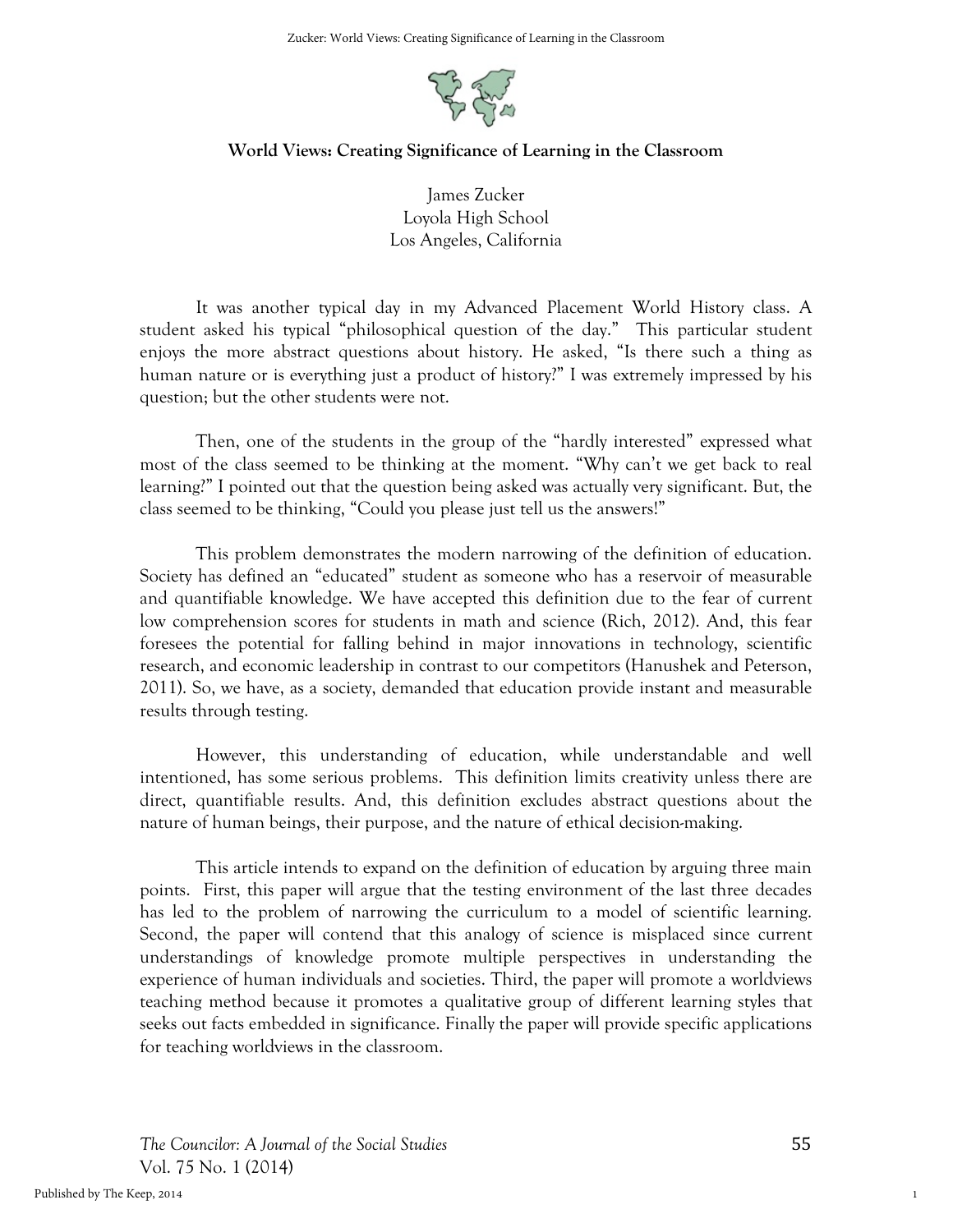

#### **World Views: Creating Significance of Learning in the Classroom**

James Zucker Loyola High School Los Angeles, California

It was another typical day in my Advanced Placement World History class. A student asked his typical "philosophical question of the day." This particular student enjoys the more abstract questions about history. He asked, "Is there such a thing as human nature or is everything just a product of history?" I was extremely impressed by his question; but the other students were not.

Then, one of the students in the group of the "hardly interested" expressed what most of the class seemed to be thinking at the moment. "Why can't we get back to real learning?" I pointed out that the question being asked was actually very significant. But, the class seemed to be thinking, "Could you please just tell us the answers!"

This problem demonstrates the modern narrowing of the definition of education. Society has defined an "educated" student as someone who has a reservoir of measurable and quantifiable knowledge. We have accepted this definition due to the fear of current low comprehension scores for students in math and science (Rich, 2012). And, this fear foresees the potential for falling behind in major innovations in technology, scientific research, and economic leadership in contrast to our competitors (Hanushek and Peterson, 2011). So, we have, as a society, demanded that education provide instant and measurable results through testing.

However, this understanding of education, while understandable and well intentioned, has some serious problems. This definition limits creativity unless there are direct, quantifiable results. And, this definition excludes abstract questions about the nature of human beings, their purpose, and the nature of ethical decision-making.

This article intends to expand on the definition of education by arguing three main points. First, this paper will argue that the testing environment of the last three decades has led to the problem of narrowing the curriculum to a model of scientific learning. Second, the paper will contend that this analogy of science is misplaced since current understandings of knowledge promote multiple perspectives in understanding the experience of human individuals and societies. Third, the paper will promote a worldviews teaching method because it promotes a qualitative group of different learning styles that seeks out facts embedded in significance. Finally the paper will provide specific applications for teaching worldviews in the classroom.

*The Councilor: A Journal of the Social Studies* Vol. 75 No. 1 (2014)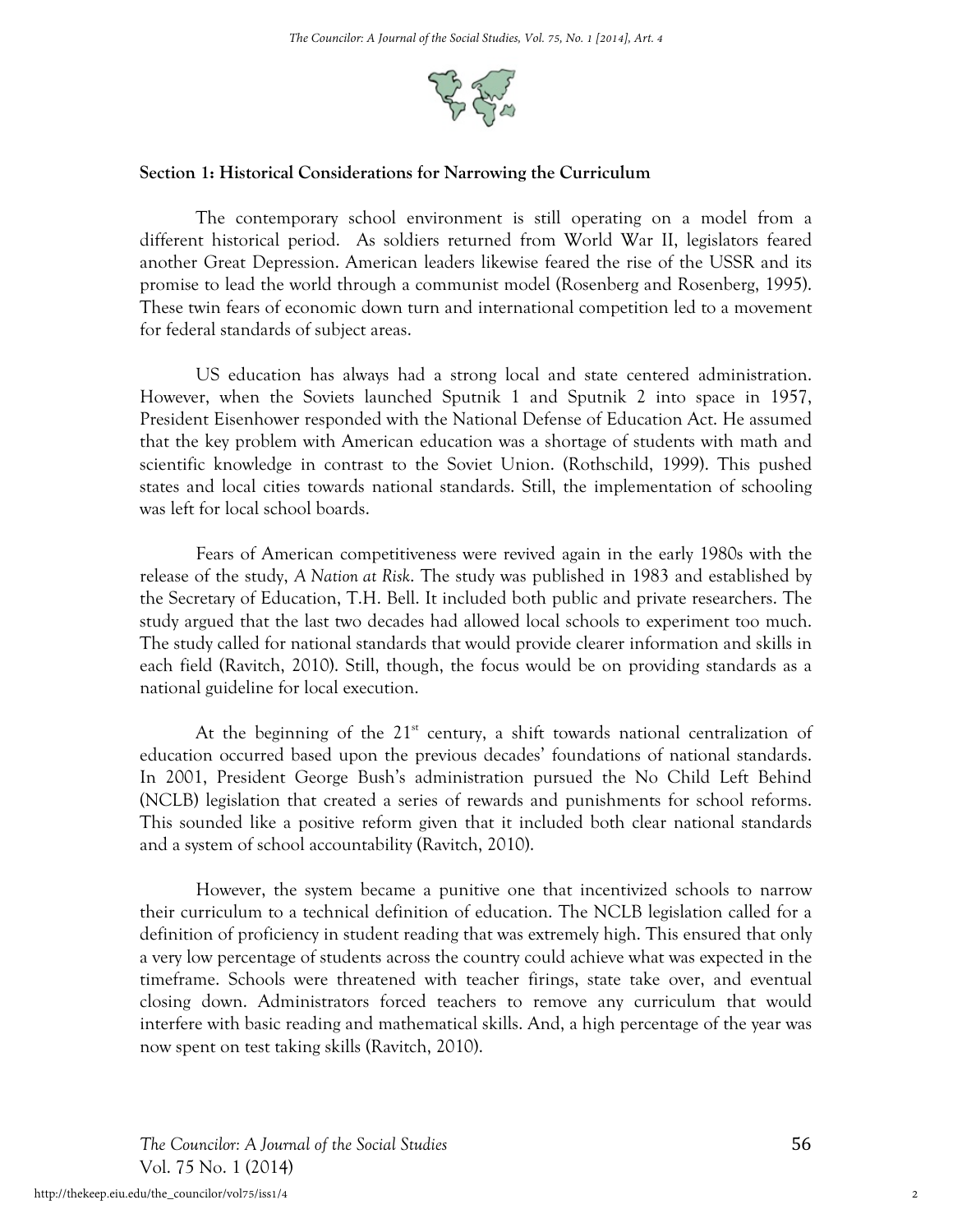

#### **Section 1: Historical Considerations for Narrowing the Curriculum**

The contemporary school environment is still operating on a model from a different historical period. As soldiers returned from World War II, legislators feared another Great Depression. American leaders likewise feared the rise of the USSR and its promise to lead the world through a communist model (Rosenberg and Rosenberg, 1995). These twin fears of economic down turn and international competition led to a movement for federal standards of subject areas.

US education has always had a strong local and state centered administration. However, when the Soviets launched Sputnik 1 and Sputnik 2 into space in 1957, President Eisenhower responded with the National Defense of Education Act. He assumed that the key problem with American education was a shortage of students with math and scientific knowledge in contrast to the Soviet Union. (Rothschild, 1999). This pushed states and local cities towards national standards. Still, the implementation of schooling was left for local school boards.

Fears of American competitiveness were revived again in the early 1980s with the release of the study, *A Nation at Risk*. The study was published in 1983 and established by the Secretary of Education, T.H. Bell. It included both public and private researchers. The study argued that the last two decades had allowed local schools to experiment too much. The study called for national standards that would provide clearer information and skills in each field (Ravitch, 2010). Still, though, the focus would be on providing standards as a national guideline for local execution.

At the beginning of the  $21^{st}$  century, a shift towards national centralization of education occurred based upon the previous decades' foundations of national standards. In 2001, President George Bush's administration pursued the No Child Left Behind (NCLB) legislation that created a series of rewards and punishments for school reforms. This sounded like a positive reform given that it included both clear national standards and a system of school accountability (Ravitch, 2010).

However, the system became a punitive one that incentivized schools to narrow their curriculum to a technical definition of education. The NCLB legislation called for a definition of proficiency in student reading that was extremely high. This ensured that only a very low percentage of students across the country could achieve what was expected in the timeframe. Schools were threatened with teacher firings, state take over, and eventual closing down. Administrators forced teachers to remove any curriculum that would interfere with basic reading and mathematical skills. And, a high percentage of the year was now spent on test taking skills (Ravitch, 2010).

*The Councilor: A Journal of the Social Studies* Vol. 75 No. 1 (2014)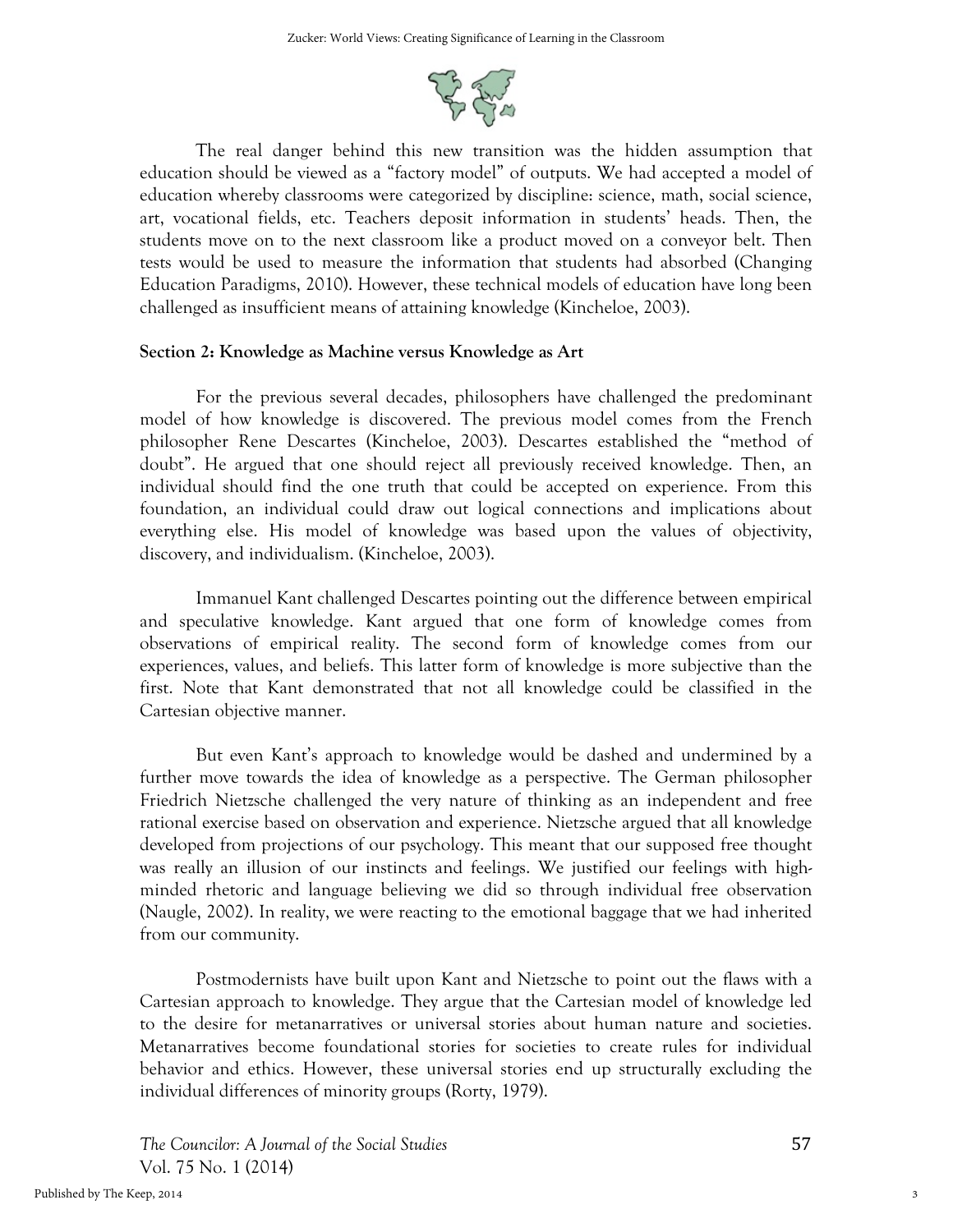

The real danger behind this new transition was the hidden assumption that education should be viewed as a "factory model" of outputs. We had accepted a model of education whereby classrooms were categorized by discipline: science, math, social science, art, vocational fields, etc. Teachers deposit information in students' heads. Then, the students move on to the next classroom like a product moved on a conveyor belt. Then tests would be used to measure the information that students had absorbed (Changing Education Paradigms, 2010). However, these technical models of education have long been challenged as insufficient means of attaining knowledge (Kincheloe, 2003).

#### **Section 2: Knowledge as Machine versus Knowledge as Art**

For the previous several decades, philosophers have challenged the predominant model of how knowledge is discovered. The previous model comes from the French philosopher Rene Descartes (Kincheloe, 2003). Descartes established the "method of doubt". He argued that one should reject all previously received knowledge. Then, an individual should find the one truth that could be accepted on experience. From this foundation, an individual could draw out logical connections and implications about everything else. His model of knowledge was based upon the values of objectivity, discovery, and individualism. (Kincheloe, 2003).

Immanuel Kant challenged Descartes pointing out the difference between empirical and speculative knowledge. Kant argued that one form of knowledge comes from observations of empirical reality. The second form of knowledge comes from our experiences, values, and beliefs. This latter form of knowledge is more subjective than the first. Note that Kant demonstrated that not all knowledge could be classified in the Cartesian objective manner.

But even Kant's approach to knowledge would be dashed and undermined by a further move towards the idea of knowledge as a perspective. The German philosopher Friedrich Nietzsche challenged the very nature of thinking as an independent and free rational exercise based on observation and experience. Nietzsche argued that all knowledge developed from projections of our psychology. This meant that our supposed free thought was really an illusion of our instincts and feelings. We justified our feelings with highminded rhetoric and language believing we did so through individual free observation (Naugle, 2002). In reality, we were reacting to the emotional baggage that we had inherited from our community.

Postmodernists have built upon Kant and Nietzsche to point out the flaws with a Cartesian approach to knowledge. They argue that the Cartesian model of knowledge led to the desire for metanarratives or universal stories about human nature and societies. Metanarratives become foundational stories for societies to create rules for individual behavior and ethics. However, these universal stories end up structurally excluding the individual differences of minority groups (Rorty, 1979).

*The Councilor: A Journal of the Social Studies* Vol. 75 No. 1 (2014)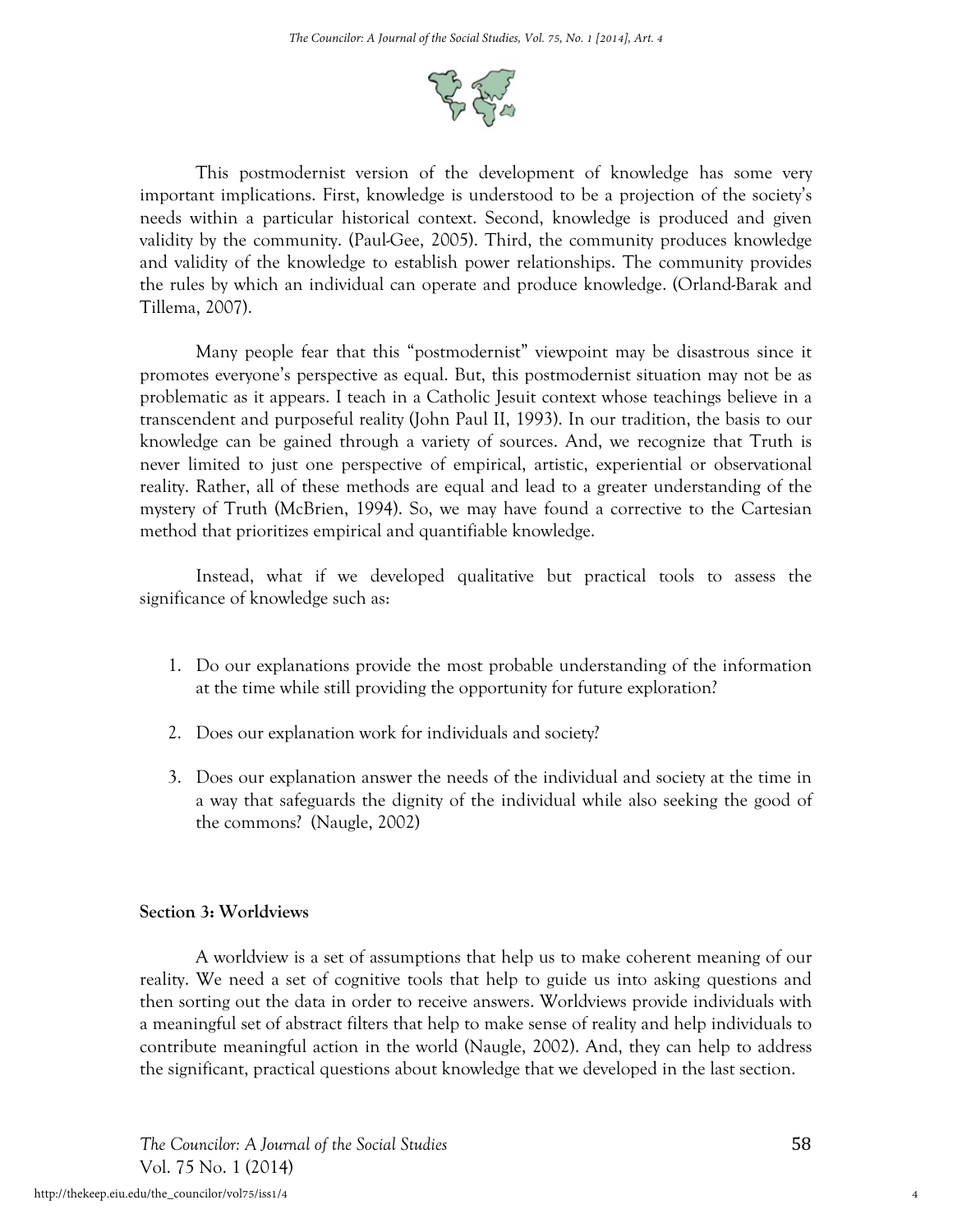

This postmodernist version of the development of knowledge has some very important implications. First, knowledge is understood to be a projection of the society's needs within a particular historical context. Second, knowledge is produced and given validity by the community. (Paul-Gee, 2005). Third, the community produces knowledge and validity of the knowledge to establish power relationships. The community provides the rules by which an individual can operate and produce knowledge. (Orland-Barak and Tillema, 2007).

Many people fear that this "postmodernist" viewpoint may be disastrous since it promotes everyone's perspective as equal. But, this postmodernist situation may not be as problematic as it appears. I teach in a Catholic Jesuit context whose teachings believe in a transcendent and purposeful reality (John Paul II, 1993). In our tradition, the basis to our knowledge can be gained through a variety of sources. And, we recognize that Truth is never limited to just one perspective of empirical, artistic, experiential or observational reality. Rather, all of these methods are equal and lead to a greater understanding of the mystery of Truth (McBrien, 1994). So, we may have found a corrective to the Cartesian method that prioritizes empirical and quantifiable knowledge.

Instead, what if we developed qualitative but practical tools to assess the significance of knowledge such as:

- 1. Do our explanations provide the most probable understanding of the information at the time while still providing the opportunity for future exploration?
- 2. Does our explanation work for individuals and society?
- 3. Does our explanation answer the needs of the individual and society at the time in a way that safeguards the dignity of the individual while also seeking the good of the commons? (Naugle, 2002)

## **Section 3: Worldviews**

A worldview is a set of assumptions that help us to make coherent meaning of our reality. We need a set of cognitive tools that help to guide us into asking questions and then sorting out the data in order to receive answers. Worldviews provide individuals with a meaningful set of abstract filters that help to make sense of reality and help individuals to contribute meaningful action in the world (Naugle, 2002). And, they can help to address the significant, practical questions about knowledge that we developed in the last section.

*The Councilor: A Journal of the Social Studies* Vol. 75 No. 1 (2014)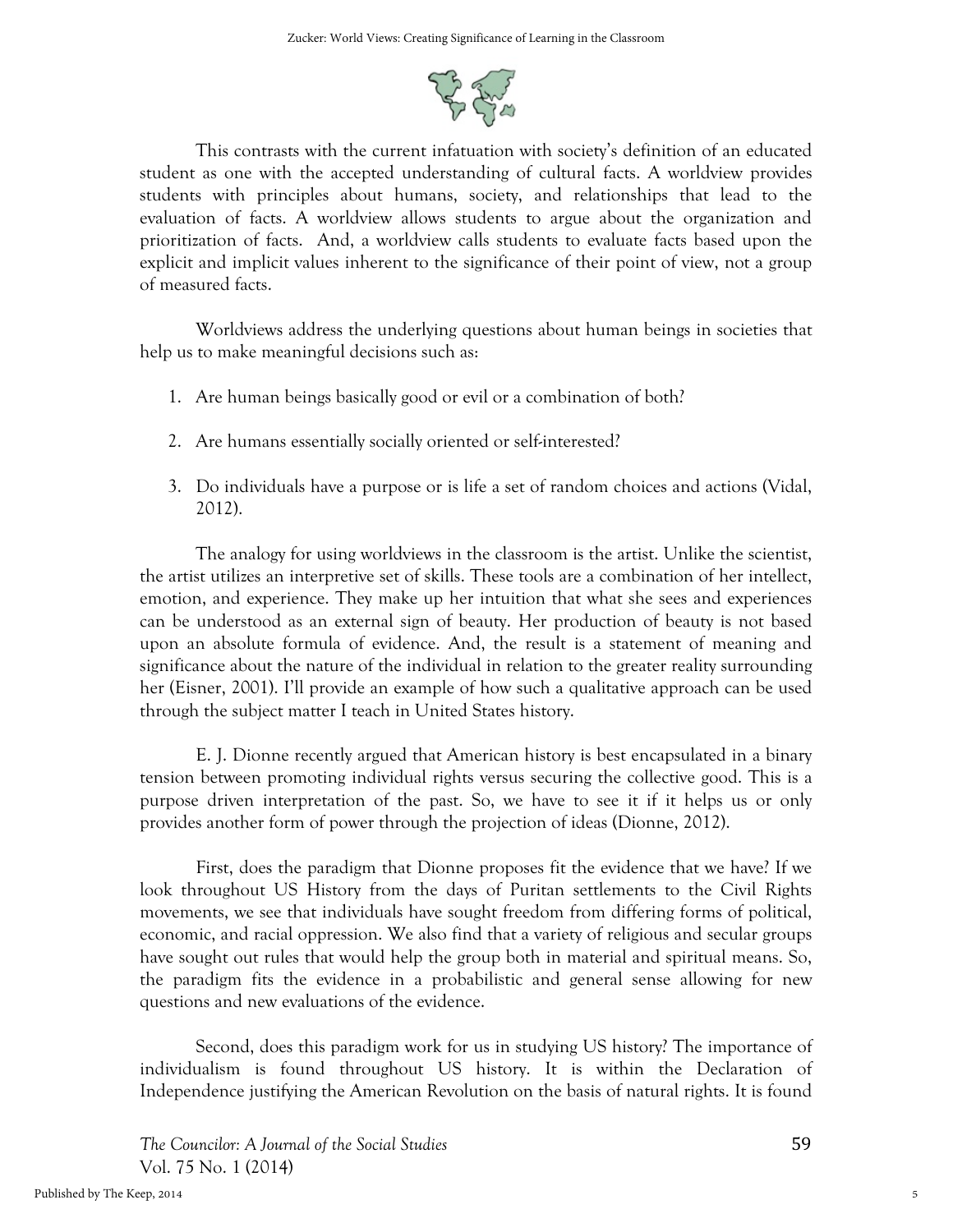

This contrasts with the current infatuation with society's definition of an educated student as one with the accepted understanding of cultural facts. A worldview provides students with principles about humans, society, and relationships that lead to the evaluation of facts. A worldview allows students to argue about the organization and prioritization of facts. And, a worldview calls students to evaluate facts based upon the explicit and implicit values inherent to the significance of their point of view, not a group of measured facts.

Worldviews address the underlying questions about human beings in societies that help us to make meaningful decisions such as:

- 1. Are human beings basically good or evil or a combination of both?
- 2. Are humans essentially socially oriented or self-interested?
- 3. Do individuals have a purpose or is life a set of random choices and actions (Vidal, 2012).

The analogy for using worldviews in the classroom is the artist. Unlike the scientist, the artist utilizes an interpretive set of skills. These tools are a combination of her intellect, emotion, and experience. They make up her intuition that what she sees and experiences can be understood as an external sign of beauty. Her production of beauty is not based upon an absolute formula of evidence. And, the result is a statement of meaning and significance about the nature of the individual in relation to the greater reality surrounding her (Eisner, 2001). I'll provide an example of how such a qualitative approach can be used through the subject matter I teach in United States history.

E. J. Dionne recently argued that American history is best encapsulated in a binary tension between promoting individual rights versus securing the collective good. This is a purpose driven interpretation of the past. So, we have to see it if it helps us or only provides another form of power through the projection of ideas (Dionne, 2012).

First, does the paradigm that Dionne proposes fit the evidence that we have? If we look throughout US History from the days of Puritan settlements to the Civil Rights movements, we see that individuals have sought freedom from differing forms of political, economic, and racial oppression. We also find that a variety of religious and secular groups have sought out rules that would help the group both in material and spiritual means. So, the paradigm fits the evidence in a probabilistic and general sense allowing for new questions and new evaluations of the evidence.

Second, does this paradigm work for us in studying US history? The importance of individualism is found throughout US history. It is within the Declaration of Independence justifying the American Revolution on the basis of natural rights. It is found

*The Councilor: A Journal of the Social Studies* Vol. 75 No. 1 (2014)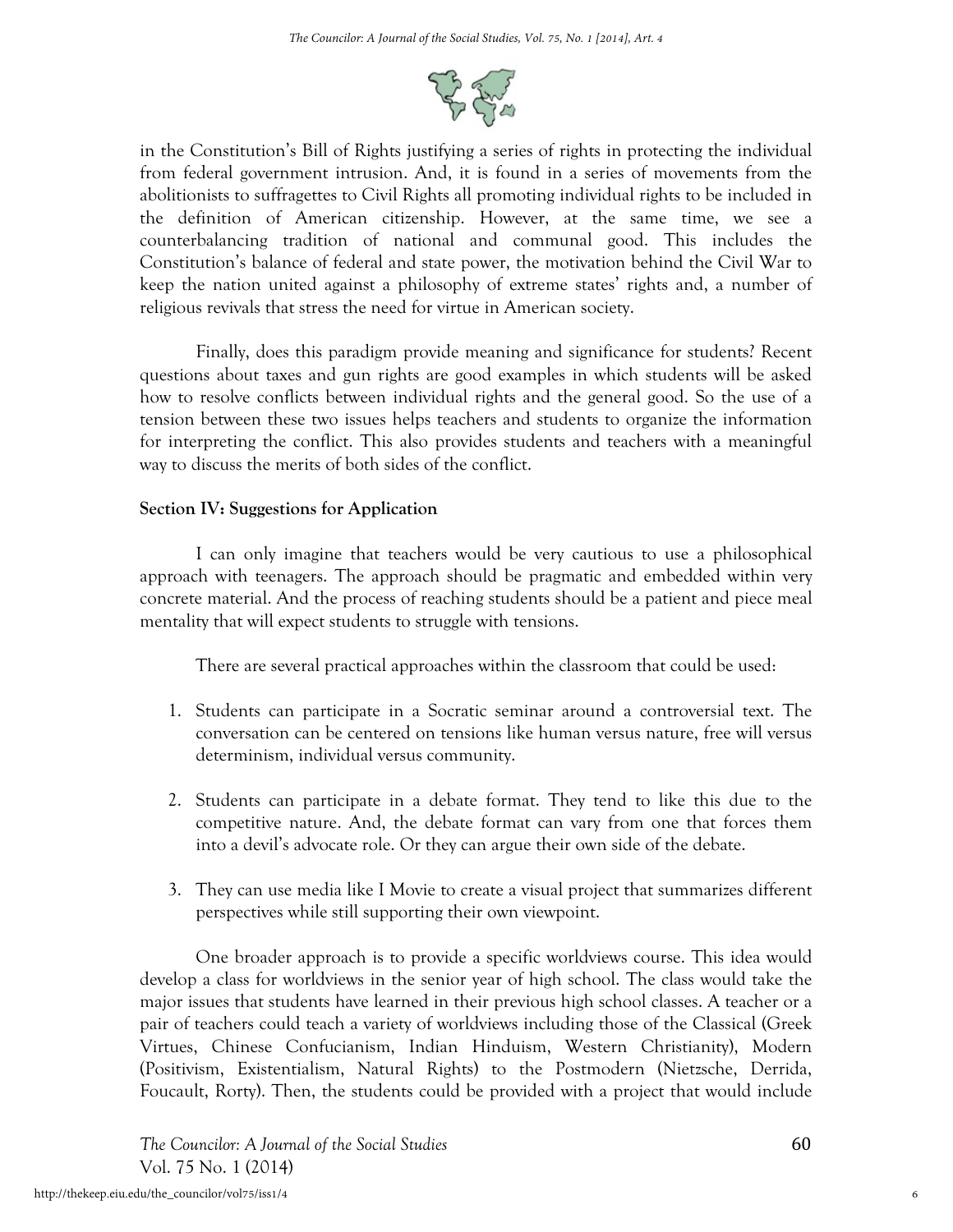

in the Constitution's Bill of Rights justifying a series of rights in protecting the individual from federal government intrusion. And, it is found in a series of movements from the abolitionists to suffragettes to Civil Rights all promoting individual rights to be included in the definition of American citizenship. However, at the same time, we see a counterbalancing tradition of national and communal good. This includes the Constitution's balance of federal and state power, the motivation behind the Civil War to keep the nation united against a philosophy of extreme states' rights and, a number of religious revivals that stress the need for virtue in American society.

Finally, does this paradigm provide meaning and significance for students? Recent questions about taxes and gun rights are good examples in which students will be asked how to resolve conflicts between individual rights and the general good. So the use of a tension between these two issues helps teachers and students to organize the information for interpreting the conflict. This also provides students and teachers with a meaningful way to discuss the merits of both sides of the conflict.

### **Section IV: Suggestions for Application**

I can only imagine that teachers would be very cautious to use a philosophical approach with teenagers. The approach should be pragmatic and embedded within very concrete material. And the process of reaching students should be a patient and piece meal mentality that will expect students to struggle with tensions.

There are several practical approaches within the classroom that could be used:

- 1. Students can participate in a Socratic seminar around a controversial text. The conversation can be centered on tensions like human versus nature, free will versus determinism, individual versus community.
- 2. Students can participate in a debate format. They tend to like this due to the competitive nature. And, the debate format can vary from one that forces them into a devil's advocate role. Or they can argue their own side of the debate.
- 3. They can use media like I Movie to create a visual project that summarizes different perspectives while still supporting their own viewpoint.

One broader approach is to provide a specific worldviews course. This idea would develop a class for worldviews in the senior year of high school. The class would take the major issues that students have learned in their previous high school classes. A teacher or a pair of teachers could teach a variety of worldviews including those of the Classical (Greek Virtues, Chinese Confucianism, Indian Hinduism, Western Christianity), Modern (Positivism, Existentialism, Natural Rights) to the Postmodern (Nietzsche, Derrida, Foucault, Rorty). Then, the students could be provided with a project that would include

*The Councilor: A Journal of the Social Studies* Vol. 75 No. 1 (2014)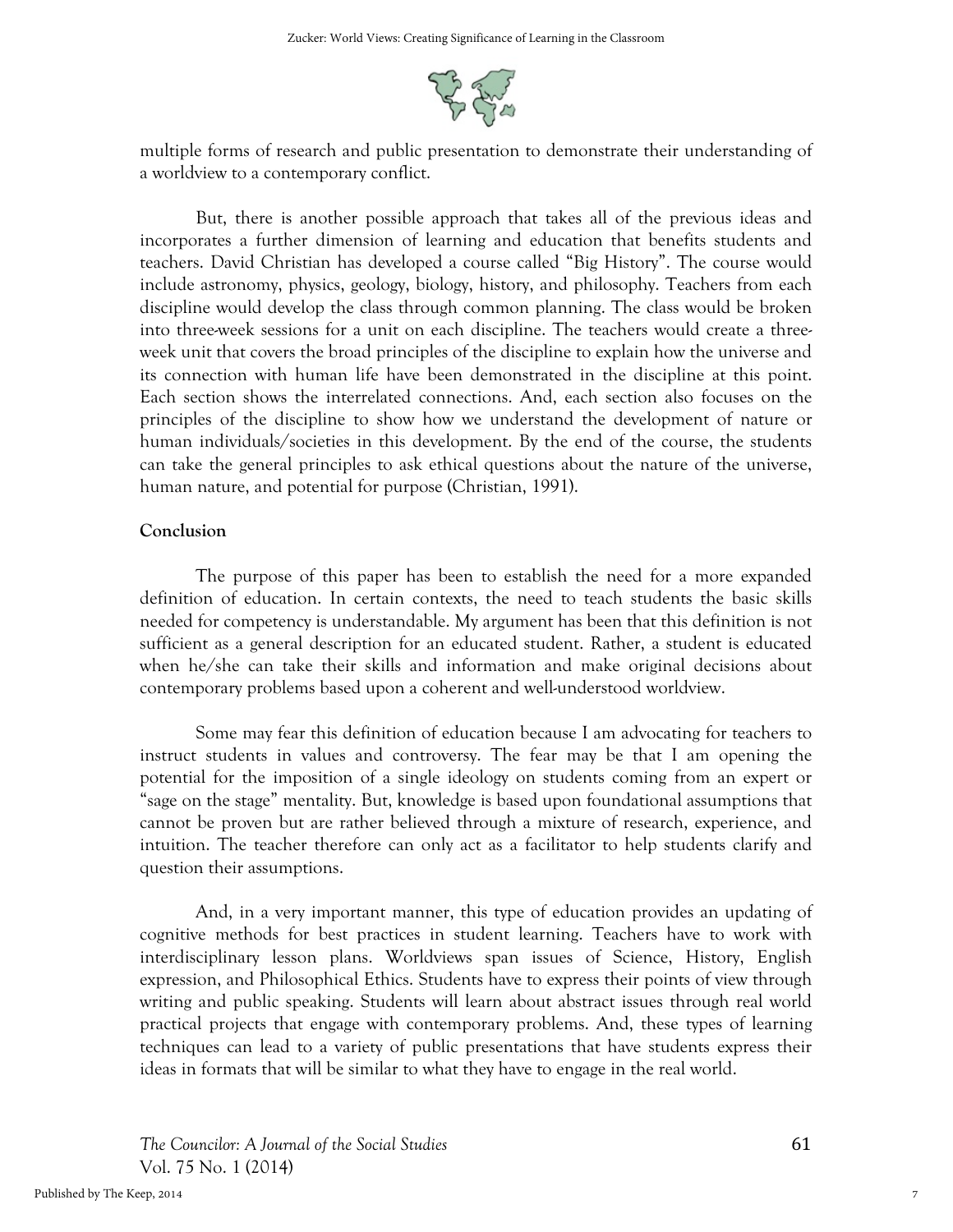

multiple forms of research and public presentation to demonstrate their understanding of a worldview to a contemporary conflict.

But, there is another possible approach that takes all of the previous ideas and incorporates a further dimension of learning and education that benefits students and teachers. David Christian has developed a course called "Big History". The course would include astronomy, physics, geology, biology, history, and philosophy. Teachers from each discipline would develop the class through common planning. The class would be broken into three-week sessions for a unit on each discipline. The teachers would create a threeweek unit that covers the broad principles of the discipline to explain how the universe and its connection with human life have been demonstrated in the discipline at this point. Each section shows the interrelated connections. And, each section also focuses on the principles of the discipline to show how we understand the development of nature or human individuals/societies in this development. By the end of the course, the students can take the general principles to ask ethical questions about the nature of the universe, human nature, and potential for purpose (Christian, 1991).

#### **Conclusion**

The purpose of this paper has been to establish the need for a more expanded definition of education. In certain contexts, the need to teach students the basic skills needed for competency is understandable. My argument has been that this definition is not sufficient as a general description for an educated student. Rather, a student is educated when he/she can take their skills and information and make original decisions about contemporary problems based upon a coherent and well-understood worldview.

Some may fear this definition of education because I am advocating for teachers to instruct students in values and controversy. The fear may be that I am opening the potential for the imposition of a single ideology on students coming from an expert or "sage on the stage" mentality. But, knowledge is based upon foundational assumptions that cannot be proven but are rather believed through a mixture of research, experience, and intuition. The teacher therefore can only act as a facilitator to help students clarify and question their assumptions.

And, in a very important manner, this type of education provides an updating of cognitive methods for best practices in student learning. Teachers have to work with interdisciplinary lesson plans. Worldviews span issues of Science, History, English expression, and Philosophical Ethics. Students have to express their points of view through writing and public speaking. Students will learn about abstract issues through real world practical projects that engage with contemporary problems. And, these types of learning techniques can lead to a variety of public presentations that have students express their ideas in formats that will be similar to what they have to engage in the real world.

*The Councilor: A Journal of the Social Studies* Vol. 75 No. 1 (2014)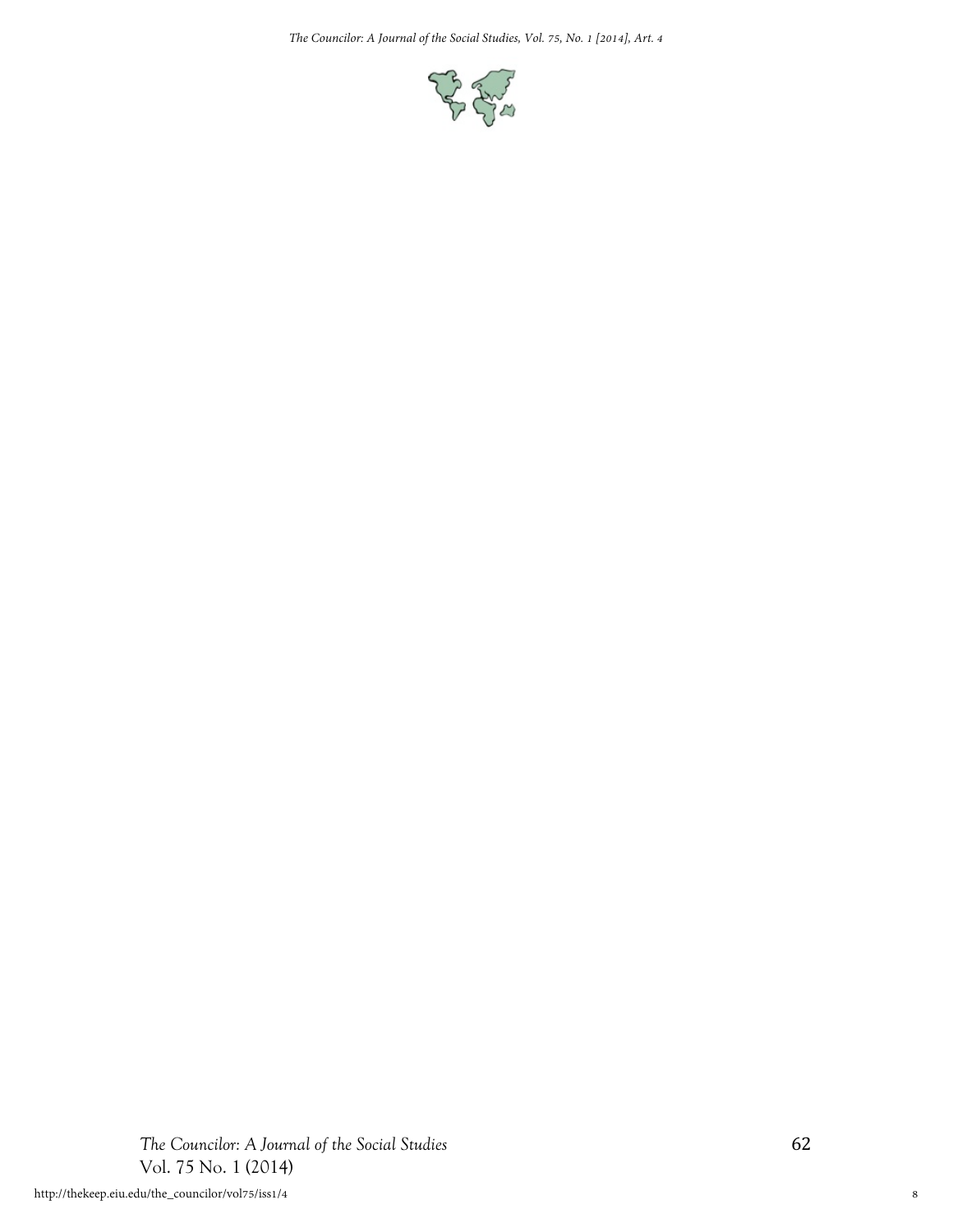*The Councilor: A Journal of the Social Studies, Vol. 75, No. 1 [2014], Art. 4*



*The Councilor: A Journal of the Social Studies* Vol. 75 No. 1 (2014)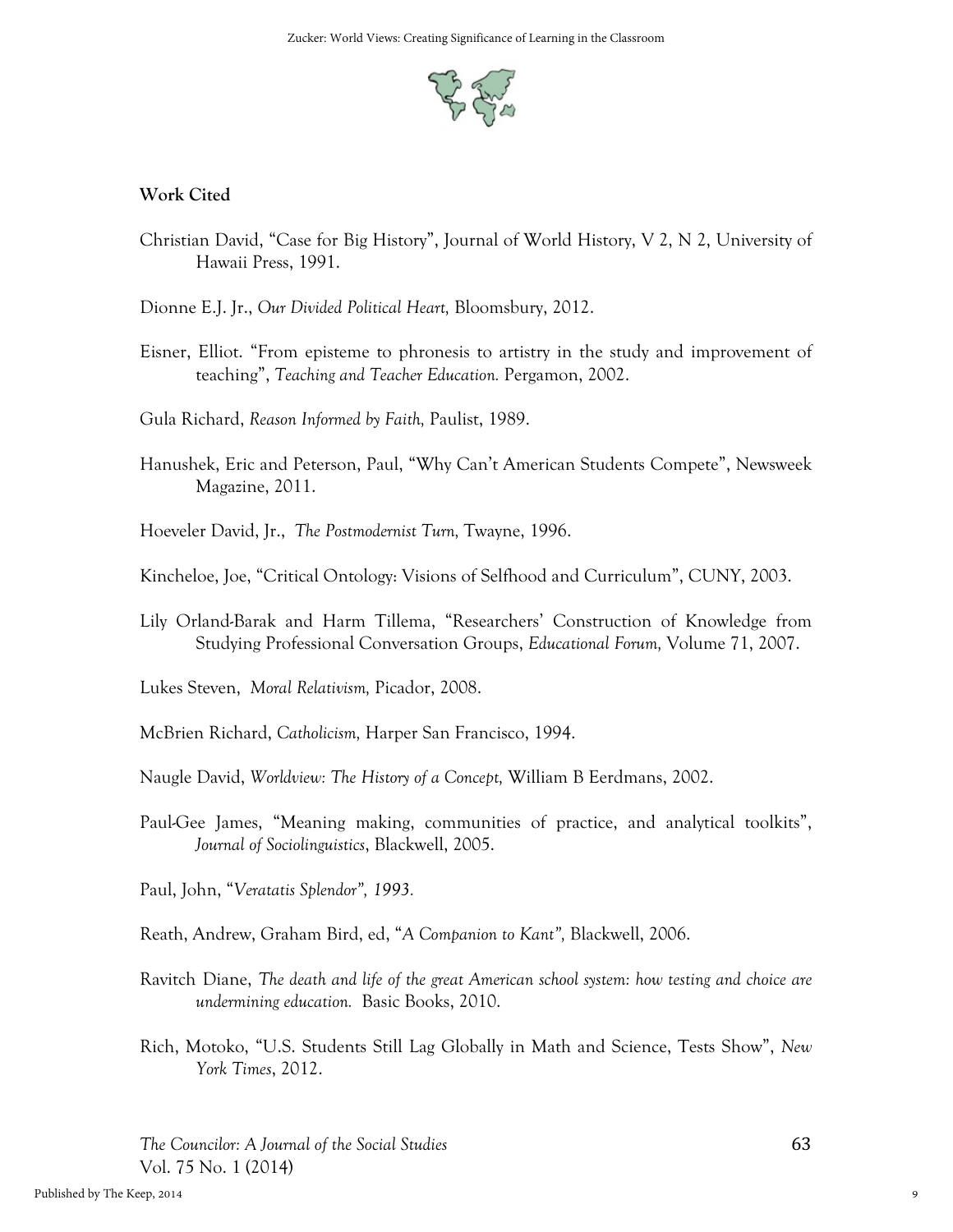

#### **Work Cited**

- Christian David, "Case for Big History", Journal of World History, V 2, N 2, University of Hawaii Press, 1991.
- Dionne E.J. Jr., *Our Divided Political Heart,* Bloomsbury, 2012.
- Eisner, Elliot. "From episteme to phronesis to artistry in the study and improvement of teaching", *Teaching and Teacher Education.* Pergamon, 2002.
- Gula Richard, *Reason Informed by Faith,* Paulist, 1989.
- Hanushek, Eric and Peterson, Paul, "Why Can't American Students Compete", Newsweek Magazine, 2011.
- Hoeveler David, Jr., *The Postmodernist Turn,* Twayne, 1996.
- Kincheloe, Joe, "Critical Ontology: Visions of Selfhood and Curriculum", CUNY, 2003.
- Lily Orland-Barak and Harm Tillema, "Researchers' Construction of Knowledge from Studying Professional Conversation Groups, *Educational Forum,* Volume 71, 2007.
- Lukes Steven, *Moral Relativism,* Picador, 2008.
- McBrien Richard, *Catholicism,* Harper San Francisco, 1994.
- Naugle David, *Worldview: The History of a Concept,* William B Eerdmans, 2002.
- Paul-Gee James, "Meaning making, communities of practice, and analytical toolkits", *Journal of Sociolinguistics*, Blackwell, 2005.
- Paul, John, "*Veratatis Splendor", 1993.*
- Reath, Andrew, Graham Bird, ed, "*A Companion to Kant",* Blackwell, 2006.
- Ravitch Diane, *The death and life of the great American school system: how testing and choice are undermining education.* Basic Books, 2010.
- Rich, Motoko, "U.S. Students Still Lag Globally in Math and Science, Tests Show", *New York Times*, 2012.

*The Councilor: A Journal of the Social Studies* Vol. 75 No. 1 (2014)